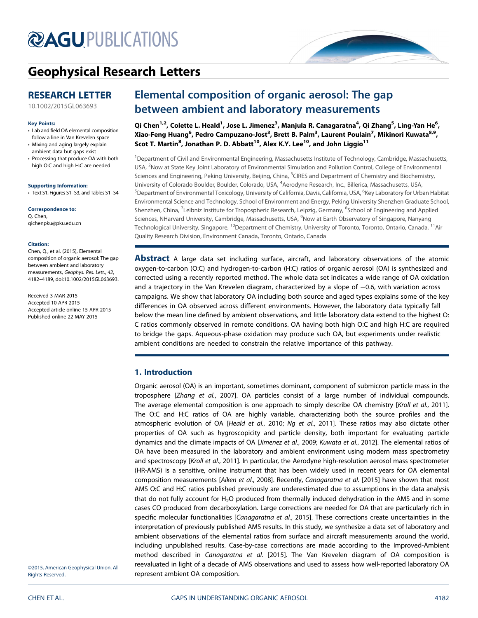# **@AGU[PUBLICATIONS](http://publications.agu.org/journals/)**



# [Geophysical Research Letters](http://onlinelibrary.wiley.com/journal/10.1002/(ISSN)1944-8007)

# RESEARCH LETTER

[10.1002/2015GL063693](http://dx.doi.org/10.1002/2015GL063693)

#### Key Points:

- Lab and field OA elemental composition follow a line in Van Krevelen space
- Mixing and aging largely explain ambient data but gaps exist
- Processing that produce OA with both high O:C and high H:C are needed

Supporting Information:

• Text S1, Figures S1–S3, and Tables S1–S4

Correspondence to: Q. Chen, qichenpku@pku.edu.cn

#### Citation:

Chen, Q., et al. (2015), Elemental composition of organic aerosol: The gap between ambient and laboratory measurements, Geophys. Res. Lett., 42, 4182–4189, doi:10.1002/2015GL063693.

Received 3 MAR 2015 Accepted 10 APR 2015 Accepted article online 15 APR 2015 Published online 22 MAY 2015

# Elemental composition of organic aerosol: The gap between ambient and laboratory measurements

Qi Chen<sup>1,2</sup>, Colette L. Heald<sup>1</sup>, Jose L. Jimenez<sup>3</sup>, Manjula R. Canagaratna<sup>4</sup>, Qi Zhang<sup>5</sup>, Ling-Yan He<sup>6</sup>, Xiao-Feng Huang<sup>6</sup>, Pedro Campuzano-Jost<sup>3</sup>, Brett B. Palm<sup>3</sup>, Laurent Poulain<sup>7</sup>, Mikinori Kuwata<sup>8,9</sup>, Scot T. Martin<sup>8</sup>, Jonathan P. D. Abbatt<sup>10</sup>, Alex K.Y. Lee<sup>10</sup>, and John Liggio<sup>11</sup>

<sup>1</sup>Department of Civil and Environmental Engineering, Massachusetts Institute of Technology, Cambridge, Massachusetts, USA, <sup>2</sup>Now at State Key Joint Laboratory of Environmental Simulation and Pollution Control, College of Environmental Sciences and Engineering, Peking University, Beijing, China, <sup>3</sup>CIRES and Department of Chemistry and Biochemistry, University of Colorado Boulder, Boulder, Colorado, USA, <sup>4</sup>Aerodyne Research, Inc., Billerica, Massachusetts, USA, <sup>5</sup>Department of Environmental Toxicology, University of California, Davis, California, USA, <sup>6</sup>Key Laboratory for Urban Habitat Environmental Science and Technology, School of Environment and Energy, Peking University Shenzhen Graduate School, Shenzhen, China, <sup>7</sup>Leibniz Institute for Tropospheric Research, Leipzig, Germany, <sup>8</sup>School of Engineering and Applied Sciences, NHarvard University, Cambridge, Massachusetts, USA, <sup>9</sup>Now at Earth Observatory of Singapore, Nanyang Technological University, Singapore, <sup>10</sup>Department of Chemistry, University of Toronto, Toronto, Ontario, Canada, <sup>11</sup>Air Quality Research Division, Environment Canada, Toronto, Ontario, Canada

**Abstract** A large data set including surface, aircraft, and laboratory observations of the atomic oxygen-to-carbon (O:C) and hydrogen-to-carbon (H:C) ratios of organic aerosol (OA) is synthesized and corrected using a recently reported method. The whole data set indicates a wide range of OA oxidation and a trajectory in the Van Krevelen diagram, characterized by a slope of -0.6, with variation across campaigns. We show that laboratory OA including both source and aged types explains some of the key differences in OA observed across different environments. However, the laboratory data typically fall below the mean line defined by ambient observations, and little laboratory data extend to the highest O: C ratios commonly observed in remote conditions. OA having both high O:C and high H:C are required to bridge the gaps. Aqueous-phase oxidation may produce such OA, but experiments under realistic ambient conditions are needed to constrain the relative importance of this pathway.

## 1. Introduction

Organic aerosol (OA) is an important, sometimes dominant, component of submicron particle mass in the troposphere [Zhang et al., 2007]. OA particles consist of a large number of individual compounds. The average elemental composition is one approach to simply describe OA chemistry [Kroll et al., 2011]. The O:C and H:C ratios of OA are highly variable, characterizing both the source profiles and the atmospheric evolution of OA [Heald et al., 2010; Ng et al., 2011]. These ratios may also dictate other properties of OA such as hygroscopicity and particle density, both important for evaluating particle dynamics and the climate impacts of OA [Jimenez et al., 2009; Kuwata et al., 2012]. The elemental ratios of OA have been measured in the laboratory and ambient environment using modern mass spectrometry and spectroscopy [Kroll et al., 2011]. In particular, the Aerodyne high-resolution aerosol mass spectrometer (HR-AMS) is a sensitive, online instrument that has been widely used in recent years for OA elemental composition measurements [Aiken et al., 2008]. Recently, Canagaratna et al. [2015] have shown that most AMS O:C and H:C ratios published previously are underestimated due to assumptions in the data analysis that do not fully account for H2O produced from thermally induced dehydration in the AMS and in some cases CO produced from decarboxylation. Large corrections are needed for OA that are particularly rich in specific molecular functionalities [Canagaratna et al., 2015]. These corrections create uncertainties in the interpretation of previously published AMS results. In this study, we synthesize a data set of laboratory and ambient observations of the elemental ratios from surface and aircraft measurements around the world, including unpublished results. Case-by-case corrections are made according to the Improved-Ambient method described in Canagaratna et al. [2015]. The Van Krevelen diagram of OA composition is reevaluated in light of a decade of AMS observations and used to assess how well-reported laboratory OA represent ambient OA composition.

©2015. American Geophysical Union. All Rights Reserved.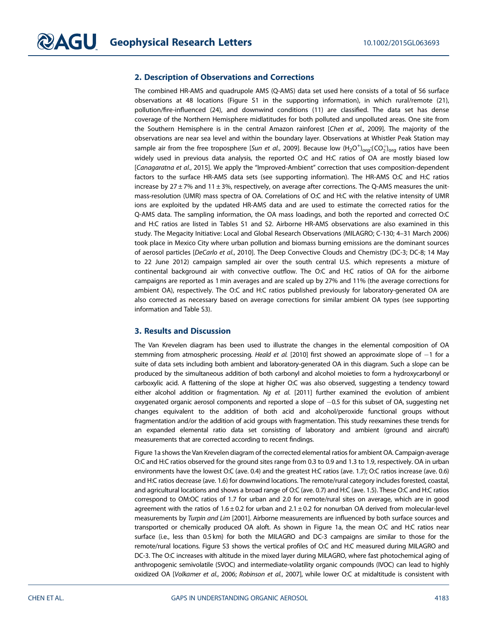## 2. Description of Observations and Corrections

The combined HR-AMS and quadrupole AMS (Q-AMS) data set used here consists of a total of 56 surface observations at 48 locations (Figure S1 in the supporting information), in which rural/remote (21), pollution/fire-influenced (24), and downwind conditions (11) are classified. The data set has dense coverage of the Northern Hemisphere midlatitudes for both polluted and unpolluted areas. One site from the Southern Hemisphere is in the central Amazon rainforest [Chen et al., 2009]. The majority of the observations are near sea level and within the boundary layer. Observations at Whistler Peak Station may sample air from the free troposphere [S*un et al.*, 2009]. Because low  $(\rm H_2O^+)_{org}$ :(CO $_2^+$ )<sub>org</sub> ratios have been widely used in previous data analysis, the reported O:C and H:C ratios of OA are mostly biased low [Canagaratna et al., 2015]. We apply the "Improved-Ambient" correction that uses composition-dependent factors to the surface HR-AMS data sets (see supporting information). The HR-AMS O:C and H:C ratios increase by 27  $\pm$  7% and 11  $\pm$  3%, respectively, on average after corrections. The Q-AMS measures the unitmass-resolution (UMR) mass spectra of OA. Correlations of O:C and H:C with the relative intensity of UMR ions are exploited by the updated HR-AMS data and are used to estimate the corrected ratios for the Q-AMS data. The sampling information, the OA mass loadings, and both the reported and corrected O:C and H:C ratios are listed in Tables S1 and S2. Airborne HR-AMS observations are also examined in this study. The Megacity Initiative: Local and Global Research Observations (MILAGRO; C-130; 4–31 March 2006) took place in Mexico City where urban pollution and biomass burning emissions are the dominant sources of aerosol particles [DeCarlo et al., 2010]. The Deep Convective Clouds and Chemistry (DC-3; DC-8; 14 May to 22 June 2012) campaign sampled air over the south central U.S. which represents a mixture of continental background air with convective outflow. The O:C and H:C ratios of OA for the airborne campaigns are reported as 1 min averages and are scaled up by 27% and 11% (the average corrections for ambient OA), respectively. The O:C and H:C ratios published previously for laboratory-generated OA are also corrected as necessary based on average corrections for similar ambient OA types (see supporting information and Table S3).

### 3. Results and Discussion

The Van Krevelen diagram has been used to illustrate the changes in the elemental composition of OA stemming from atmospheric processing. Heald et al. [2010] first showed an approximate slope of  $-1$  for a suite of data sets including both ambient and laboratory-generated OA in this diagram. Such a slope can be produced by the simultaneous addition of both carbonyl and alcohol moieties to form a hydroxycarbonyl or carboxylic acid. A flattening of the slope at higher O:C was also observed, suggesting a tendency toward either alcohol addition or fragmentation. Ng et al.  $[2011]$  further examined the evolution of ambient oxygenated organic aerosol components and reported a slope of  $-0.5$  for this subset of OA, suggesting net changes equivalent to the addition of both acid and alcohol/peroxide functional groups without fragmentation and/or the addition of acid groups with fragmentation. This study reexamines these trends for an expanded elemental ratio data set consisting of laboratory and ambient (ground and aircraft) measurements that are corrected according to recent findings.

Figure 1a shows the Van Krevelen diagram of the corrected elemental ratios for ambient OA. Campaign-average O:C and H:C ratios observed for the ground sites range from 0.3 to 0.9 and 1.3 to 1.9, respectively. OA in urban environments have the lowest O:C (ave. 0.4) and the greatest H:C ratios (ave. 1.7); O:C ratios increase (ave. 0.6) and H:C ratios decrease (ave. 1.6) for downwind locations. The remote/rural category includes forested, coastal, and agricultural locations and shows a broad range of O:C (ave. 0.7) and H:C (ave. 1.5). These O:C and H:C ratios correspond to OM:OC ratios of 1.7 for urban and 2.0 for remote/rural sites on average, which are in good agreement with the ratios of  $1.6 \pm 0.2$  for urban and  $2.1 \pm 0.2$  for nonurban OA derived from molecular-level measurements by Turpin and Lim [2001]. Airborne measurements are influenced by both surface sources and transported or chemically produced OA aloft. As shown in Figure 1a, the mean O:C and H:C ratios near surface (i.e., less than 0.5 km) for both the MILAGRO and DC-3 campaigns are similar to those for the remote/rural locations. Figure S3 shows the vertical profiles of O:C and H:C measured during MILAGRO and DC-3. The O:C increases with altitude in the mixed layer during MILAGRO, where fast photochemical aging of anthropogenic semivolatile (SVOC) and intermediate-volatility organic compounds (IVOC) can lead to highly oxidized OA [Volkamer et al., 2006; Robinson et al., 2007], while lower O:C at midaltitude is consistent with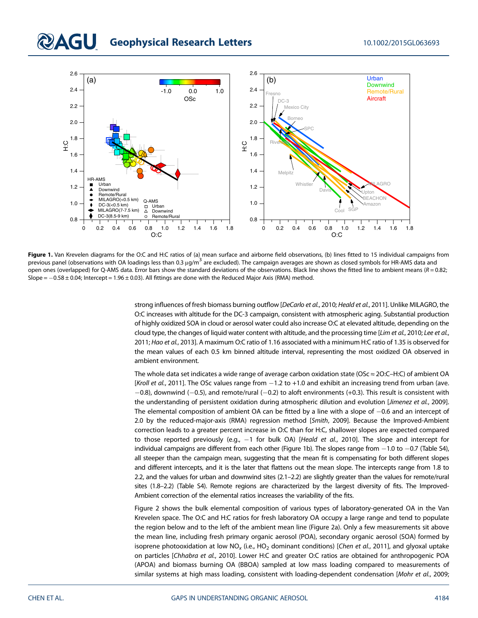# **QAGU** Geophysical Research Letters 10.1002/2015GL063693



Figure 1. Van Krevelen diagrams for the O:C and H:C ratios of (a) mean surface and airborne field observations, (b) lines fitted to 15 individual campaigns from previous panel (observations with OA loadings less than 0.3  $\mu$ g/m<sup>3</sup> are excluded). The campaign averages are shown as closed symbols for HR-AMS data and open ones (overlapped) for Q-AMS data. Error bars show the standard deviations of the observations. Black line shows the fitted line to ambient means ( $R = 0.82$ ; Slope =  $-0.58 \pm 0.04$ ; Intercept = 1.96  $\pm$  0.03). All fittings are done with the Reduced Major Axis (RMA) method.

strong influences of fresh biomass burning outflow [DeCarlo et al., 2010; Heald et al., 2011]. Unlike MILAGRO, the O:C increases with altitude for the DC-3 campaign, consistent with atmospheric aging. Substantial production of highly oxidized SOA in cloud or aerosol water could also increase O:C at elevated altitude, depending on the cloud type, the changes of liquid water content with altitude, and the processing time [Lim et al., 2010; Lee et al., 2011; Hao et al., 2013]. A maximum O:C ratio of 1.16 associated with a minimum H:C ratio of 1.35 is observed for the mean values of each 0.5 km binned altitude interval, representing the most oxidized OA observed in ambient environment.

The whole data set indicates a wide range of average carbon oxidation state (OSc ≈ 2O:C–H:C) of ambient OA [Kroll et al., 2011]. The OSc values range from  $-1.2$  to  $+1.0$  and exhibit an increasing trend from urban (ave.  $-0.8$ ), downwind (-0.5), and remote/rural (-0.2) to aloft environments (+0.3). This result is consistent with the understanding of persistent oxidation during atmospheric dilution and evolution [Jimenez et al., 2009]. The elemental composition of ambient OA can be fitted by a line with a slope of  $-0.6$  and an intercept of 2.0 by the reduced-major-axis (RMA) regression method [Smith, 2009]. Because the Improved-Ambient correction leads to a greater percent increase in O:C than for H:C, shallower slopes are expected compared to those reported previously (e.g.,  $-1$  for bulk OA) [Heald et al., 2010]. The slope and intercept for individual campaigns are different from each other (Figure 1b). The slopes range from  $-1.0$  to  $-0.7$  (Table S4), all steeper than the campaign mean, suggesting that the mean fit is compensating for both different slopes and different intercepts, and it is the later that flattens out the mean slope. The intercepts range from 1.8 to 2.2, and the values for urban and downwind sites (2.1–2.2) are slightly greater than the values for remote/rural sites (1.8–2.2) (Table S4). Remote regions are characterized by the largest diversity of fits. The Improved-Ambient correction of the elemental ratios increases the variability of the fits.

Figure 2 shows the bulk elemental composition of various types of laboratory-generated OA in the Van Krevelen space. The O:C and H:C ratios for fresh laboratory OA occupy a large range and tend to populate the region below and to the left of the ambient mean line (Figure 2a). Only a few measurements sit above the mean line, including fresh primary organic aerosol (POA), secondary organic aerosol (SOA) formed by isoprene photooxidation at low NO<sub>x</sub> (i.e., HO<sub>2</sub> dominant conditions) [Chen et al., 2011], and glyoxal uptake on particles [Chhabra et al., 2010]. Lower H:C and greater O:C ratios are obtained for anthropogenic POA (APOA) and biomass burning OA (BBOA) sampled at low mass loading compared to measurements of similar systems at high mass loading, consistent with loading-dependent condensation [Mohr et al., 2009;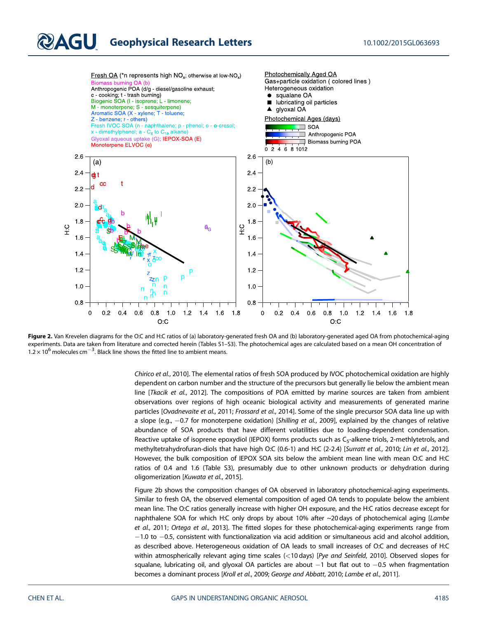# **QAGU** Geophysical Research Letters 10.1002/2015GL063693



Figure 2. Van Krevelen diagrams for the O:C and H:C ratios of (a) laboratory-generated fresh OA and (b) laboratory-generated aged OA from photochemical-aging experiments. Data are taken from literature and corrected herein (Tables S1–S3). The photochemical ages are calculated based on a mean OH concentration of  $1.2 \times 10^6$  molecules cm<sup>-3</sup>. Black line shows the fitted line to ambient means.

Chirico et al., 2010]. The elemental ratios of fresh SOA produced by IVOC photochemical oxidation are highly dependent on carbon number and the structure of the precursors but generally lie below the ambient mean line [Tkacik et al., 2012]. The compositions of POA emitted by marine sources are taken from ambient observations over regions of high oceanic biological activity and measurements of generated marine particles [Ovadnevaite et al., 2011; Frossard et al., 2014]. Some of the single precursor SOA data line up with a slope (e.g.,  $-0.7$  for monoterpene oxidation) [Shilling et al., 2009], explained by the changes of relative abundance of SOA products that have different volatilities due to loading-dependent condensation. Reactive uptake of isoprene epoxydiol (IEPOX) forms products such as C<sub>5</sub>-alkene triols, 2-methlytetrols, and methyltetrahydrofuran-diols that have high O:C (0.6-1) and H:C (2-2.4) [Surratt et al., 2010; Lin et al., 2012]. However, the bulk composition of IEPOX SOA sits below the ambient mean line with mean O:C and H:C ratios of 0.4 and 1.6 (Table S3), presumably due to other unknown products or dehydration during oligomerization [Kuwata et al., 2015].

Figure 2b shows the composition changes of OA observed in laboratory photochemical-aging experiments. Similar to fresh OA, the observed elemental composition of aged OA tends to populate below the ambient mean line. The O:C ratios generally increase with higher OH exposure, and the H:C ratios decrease except for naphthalene SOA for which H:C only drops by about 10% after ~20 days of photochemical aging [Lambe et al., 2011; Ortega et al., 2013]. The fitted slopes for these photochemical-aging experiments range from  $-1.0$  to  $-0.5$ , consistent with functionalization via acid addition or simultaneous acid and alcohol addition, as described above. Heterogeneous oxidation of OA leads to small increases of O:C and decreases of H:C within atmospherically relevant aging time scales (<10 days) [Pye and Seinfeld, 2010]. Observed slopes for squalane, lubricating oil, and glyoxal OA particles are about  $-1$  but flat out to  $-0.5$  when fragmentation becomes a dominant process [Kroll et al., 2009; George and Abbatt, 2010; Lambe et al., 2011].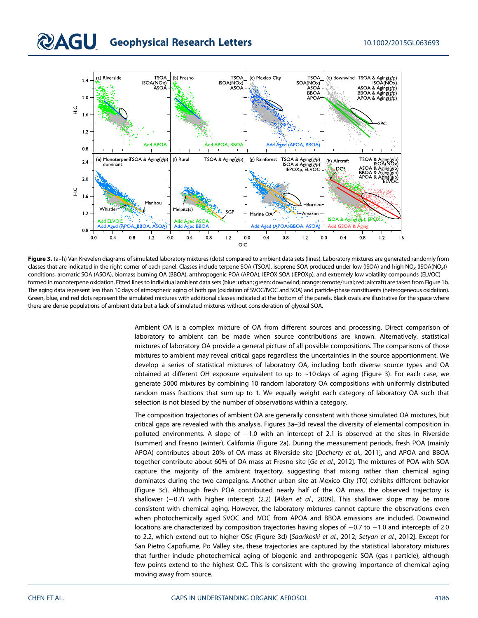

Figure 3. (a-h) Van Krevelen diagrams of simulated laboratory mixtures (dots) compared to ambient data sets (lines). Laboratory mixtures are generated randomly from classes that are indicated in the right corner of each panel. Classes include terpene SOA (TSOA), isoprene SOA produced under low (ISOA) and high  $NO<sub>x</sub>$  (ISOA(NO<sub>x</sub>)) conditions, aromatic SOA (ASOA), biomass burning OA (BBOA), anthropogenic POA (APOA), IEPOX SOA (IEPOXp), and extremely low volatility compounds (ELVOC) formed in monoterpene oxidation. Fitted lines to individual ambient data sets (blue: urban; green: downwind; orange: remote/rural; red: aircraft) are taken from Figure 1b. The aging data represent less than 10 days of atmospheric aging of both gas (oxidation of SVOC/IVOC and SOA) and particle-phase constituents (heterogeneous oxidation). Green, blue, and red dots represent the simulated mixtures with additional classes indicated at the bottom of the panels. Black ovals are illustrative for the space where there are dense populations of ambient data but a lack of simulated mixtures without consideration of glyoxal SOA.

Ambient OA is a complex mixture of OA from different sources and processing. Direct comparison of laboratory to ambient can be made when source contributions are known. Alternatively, statistical mixtures of laboratory OA provide a general picture of all possible compositions. The comparisons of those mixtures to ambient may reveal critical gaps regardless the uncertainties in the source apportionment. We develop a series of statistical mixtures of laboratory OA, including both diverse source types and OA obtained at different OH exposure equivalent to up to ~10 days of aging (Figure 3). For each case, we generate 5000 mixtures by combining 10 random laboratory OA compositions with uniformly distributed random mass fractions that sum up to 1. We equally weight each category of laboratory OA such that selection is not biased by the number of observations within a category.

The composition trajectories of ambient OA are generally consistent with those simulated OA mixtures, but critical gaps are revealed with this analysis. Figures 3a–3d reveal the diversity of elemental composition in polluted environments. A slope of  $-1.0$  with an intercept of 2.1 is observed at the sites in Riverside (summer) and Fresno (winter), California (Figure 2a). During the measurement periods, fresh POA (mainly APOA) contributes about 20% of OA mass at Riverside site [Docherty et al., 2011], and APOA and BBOA together contribute about 60% of OA mass at Fresno site [Ge et al., 2012]. The mixtures of POA with SOA capture the majority of the ambient trajectory, suggesting that mixing rather than chemical aging dominates during the two campaigns. Another urban site at Mexico City (T0) exhibits different behavior (Figure 3c). Although fresh POA contributed nearly half of the OA mass, the observed trajectory is shallower  $(-0.7)$  with higher intercept (2.2) [Aiken et al., 2009]. This shallower slope may be more consistent with chemical aging. However, the laboratory mixtures cannot capture the observations even when photochemically aged SVOC and IVOC from APOA and BBOA emissions are included. Downwind locations are characterized by composition trajectories having slopes of  $-0.7$  to  $-1.0$  and intercepts of 2.0 to 2.2, which extend out to higher OSc (Figure 3d) [Saarikoski et al., 2012; Setyan et al., 2012]. Except for San Pietro Capofiume, Po Valley site, these trajectories are captured by the statistical laboratory mixtures that further include photochemical aging of biogenic and anthropogenic SOA (gas + particle), although few points extend to the highest O:C. This is consistent with the growing importance of chemical aging moving away from source.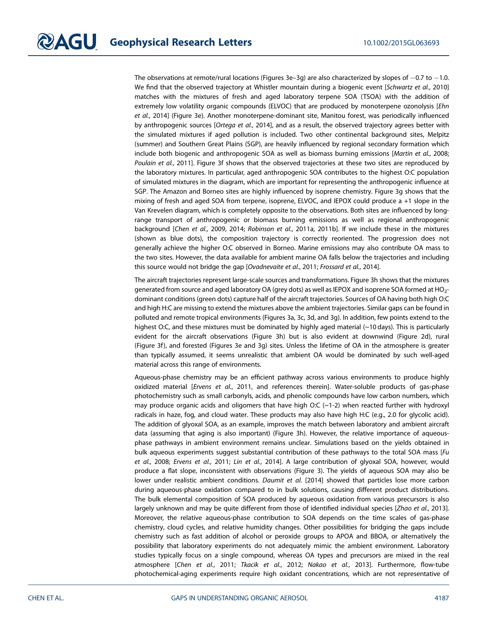The observations at remote/rural locations (Figures 3e–3g) are also characterized by slopes of  $-0.7$  to  $-1.0$ . We find that the observed trajectory at Whistler mountain during a biogenic event [Schwartz et al., 2010] matches with the mixtures of fresh and aged laboratory terpene SOA (TSOA) with the addition of extremely low volatility organic compounds (ELVOC) that are produced by monoterpene ozonolysis [Ehn et al., 2014] (Figure 3e). Another monoterpene-dominant site, Manitou forest, was periodically influenced by anthropogenic sources [Ortega et al., 2014], and as a result, the observed trajectory agrees better with the simulated mixtures if aged pollution is included. Two other continental background sites, Melpitz (summer) and Southern Great Plains (SGP), are heavily influenced by regional secondary formation which include both biogenic and anthropogenic SOA as well as biomass burning emissions [Martin et al., 2008; Poulain et al., 2011]. Figure 3f shows that the observed trajectories at these two sites are reproduced by the laboratory mixtures. In particular, aged anthropogenic SOA contributes to the highest O:C population of simulated mixtures in the diagram, which are important for representing the anthropogenic influence at SGP. The Amazon and Borneo sites are highly influenced by isoprene chemistry. Figure 3g shows that the mixing of fresh and aged SOA from terpene, isoprene, ELVOC, and IEPOX could produce a +1 slope in the Van Krevelen diagram, which is completely opposite to the observations. Both sites are influenced by longrange transport of anthropogenic or biomass burning emissions as well as regional anthropogenic background [Chen et al., 2009, 2014; Robinson et al., 2011a, 2011b]. If we include these in the mixtures (shown as blue dots), the composition trajectory is correctly reoriented. The progression does not generally achieve the higher O:C observed in Borneo. Marine emissions may also contribute OA mass to the two sites. However, the data available for ambient marine OA falls below the trajectories and including this source would not bridge the gap [Ovadnevaite et al., 2011; Frossard et al., 2014].

The aircraft trajectories represent large-scale sources and transformations. Figure 3h shows that the mixtures generated from source and aged laboratory OA (grey dots) as well as IEPOX and isoprene SOA formed at HO<sub>2</sub>dominant conditions (green dots) capture half of the aircraft trajectories. Sources of OA having both high O:C and high H:C are missing to extend the mixtures above the ambient trajectories. Similar gaps can be found in polluted and remote tropical environments (Figures 3a, 3c, 3d, and 3g). In addition, few points extend to the highest O:C, and these mixtures must be dominated by highly aged material (~10 days). This is particularly evident for the aircraft observations (Figure 3h) but is also evident at downwind (Figure 2d), rural (Figure 3f), and forested (Figures 3e and 3g) sites. Unless the lifetime of OA in the atmosphere is greater than typically assumed, it seems unrealistic that ambient OA would be dominated by such well-aged material across this range of environments.

Aqueous-phase chemistry may be an efficient pathway across various environments to produce highly oxidized material [Ervens et al., 2011, and references therein]. Water-soluble products of gas-phase photochemistry such as small carbonyls, acids, and phenolic compounds have low carbon numbers, which may produce organic acids and oligomers that have high O:C  $(-1-2)$  when reacted further with hydroxyl radicals in haze, fog, and cloud water. These products may also have high H:C (e.g., 2.0 for glycolic acid). The addition of glyoxal SOA, as an example, improves the match between laboratory and ambient aircraft data (assuming that aging is also important) (Figure 3h). However, the relative importance of aqueousphase pathways in ambient environment remains unclear. Simulations based on the yields obtained in bulk aqueous experiments suggest substantial contribution of these pathways to the total SOA mass [Fu et al., 2008; Ervens et al., 2011; Lin et al., 2014]. A large contribution of glyoxal SOA, however, would produce a flat slope, inconsistent with observations (Figure 3). The yields of aqueous SOA may also be lower under realistic ambient conditions. Daumit et al. [2014] showed that particles lose more carbon during aqueous-phase oxidation compared to in bulk solutions, causing different product distributions. The bulk elemental composition of SOA produced by aqueous oxidation from various precursors is also largely unknown and may be quite different from those of identified individual species [Zhao et al., 2013]. Moreover, the relative aqueous-phase contribution to SOA depends on the time scales of gas-phase chemistry, cloud cycles, and relative humidity changes. Other possibilities for bridging the gaps include chemistry such as fast addition of alcohol or peroxide groups to APOA and BBOA, or alternatively the possibility that laboratory experiments do not adequately mimic the ambient environment. Laboratory studies typically focus on a single compound, whereas OA types and precursors are mixed in the real atmosphere [Chen et al., 2011; Tkacik et al., 2012; Nakao et al., 2013]. Furthermore, flow-tube photochemical-aging experiments require high oxidant concentrations, which are not representative of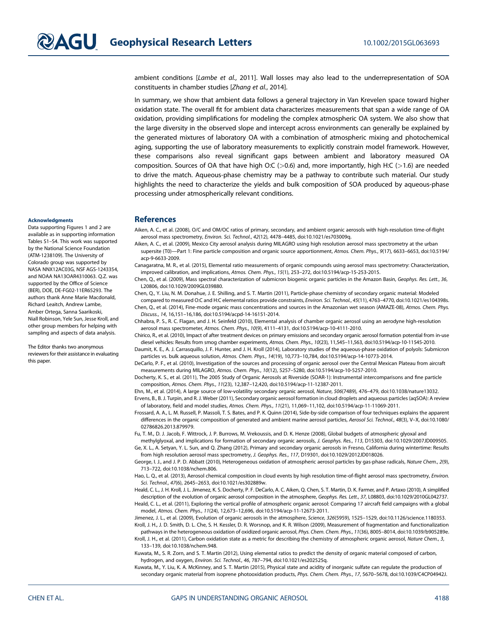ambient conditions [Lambe et al., 2011]. Wall losses may also lead to the underrepresentation of SOA constituents in chamber studies [Zhang et al., 2014].

In summary, we show that ambient data follows a general trajectory in Van Krevelen space toward higher oxidation state. The overall fit for ambient data characterizes measurements that span a wide range of OA oxidation, providing simplifications for modeling the complex atmospheric OA system. We also show that the large diversity in the observed slope and intercept across environments can generally be explained by the generated mixtures of laboratory OA with a combination of atmospheric mixing and photochemical aging, supporting the use of laboratory measurements to explicitly constrain model framework. However, these comparisons also reveal significant gaps between ambient and laboratory measured OA composition. Sources of OA that have high O:C ( $>0.6$ ) and, more importantly, high H:C ( $>1.6$ ) are needed to drive the match. Aqueous-phase chemistry may be a pathway to contribute such material. Our study highlights the need to characterize the yields and bulk composition of SOA produced by aqueous-phase processing under atmospherically relevant conditions.

#### References

- Aiken, A. C., et al. (2008), O/C and OM/OC ratios of primary, secondary, and ambient organic aerosols with high-resolution time-of-flight aerosol mass spectrometry, Environ. Sci. Technol., 42(12), 4478–4485, doi[:10.1021/es703009q.](http://dx.doi.org/10.1021/es703009q)
- Aiken, A. C., et al. (2009), Mexico City aerosol analysis during MILAGRO using high resolution aerosol mass spectrometry at the urban supersite (T0)—Part 1: Fine particle composition and organic source apportionment, Atmos. Chem. Phys., 9(17), 6633–6653, doi[:10.5194/](http://dx.doi.org/10.5194/acp-9-6633-2009) [acp-9-6633-2009](http://dx.doi.org/10.5194/acp-9-6633-2009).
- Canagaratna, M. R., et al. (2015), Elemental ratio measurements of organic compounds using aerosol mass spectrometry: Characterization, improved calibration, and implications, Atmos. Chem. Phys., 15(1), 253–272, doi:[10.5194/acp-15-253-2015](http://dx.doi.org/10.5194/acp-15-253-2015).

Chen, Q., et al. (2009), Mass spectral characterization of submicron biogenic organic particles in the Amazon Basin, Geophys. Res. Lett., 36, L20806, doi:[10.1029/2009GL039880](http://dx.doi.org/10.1029/2009GL039880).

Chen, Q., Y. Liu, N. M. Donahue, J. E. Shilling, and S. T. Martin (2011), Particle-phase chemistry of secondary organic material: Modeled compared to measured O:C and H:C elemental ratios provide constraints, Environ. Sci. Technol., 45(11), 4763–4770, doi[:10.1021/es104398s](http://dx.doi.org/10.1021/es104398s).

Chen, Q., et al. (2014), Fine-mode organic mass concentrations and sources in the Amazonian wet season (AMAZE-08), Atmos. Chem. Phys. Discuss., 14, 16,151–16,186, doi:[10.5194/acpd-14-16151-2014](http://dx.doi.org/10.5194/acpd-14-16151-2014).

- Chhabra, P. S., R. C. Flagan, and J. H. Seinfeld (2010), Elemental analysis of chamber organic aerosol using an aerodyne high-resolution aerosol mass spectrometer, Atmos. Chem. Phys., 10(9), 4111–4131, doi:[10.5194/acp-10-4111-2010.](http://dx.doi.org/10.5194/acp-10-4111-2010)
- Chirico, R., et al. (2010), Impact of after treatment devices on primary emissions and secondary organic aerosol formation potential from in-use diesel vehicles: Results from smog chamber experiments, Atmos. Chem. Phys., 10(23), 11,545–11,563, doi:[10.5194/acp-10-11545-2010.](http://dx.doi.org/10.5194/acp-10-11545-2010)

Daumit, K. E., A. J. Carrasquillo, J. F. Hunter, and J. H. Kroll (2014), Laboratory studies of the aqueous-phase oxidation of polyols: Submicron particles vs. bulk aqueous solution, Atmos. Chem. Phys., 14(19), 10,773–10,784, doi:[10.5194/acp-14-10773-2014](http://dx.doi.org/10.5194/acp-14-10773-2014).

DeCarlo, P. F., et al. (2010), Investigation of the sources and processing of organic aerosol over the Central Mexican Plateau from aircraft measurements during MILAGRO, Atmos. Chem. Phys., 10(12), 5257–5280, doi[:10.5194/acp-10-5257-2010.](http://dx.doi.org/10.5194/acp-10-5257-2010)

Docherty, K. S., et al. (2011), The 2005 Study of Organic Aerosols at Riverside (SOAR-1): Instrumental intercomparisons and fine particle composition, Atmos. Chem. Phys., 11(23), 12,387–12,420, doi[:10.5194/acp-11-12387-2011.](http://dx.doi.org/10.5194/acp-11-12387-2011)

Ehn, M., et al. (2014), A large source of low-volatility secondary organic aerosol, Nature, 506(7489), 476–479, doi:[10.1038/nature13032.](http://dx.doi.org/10.1038/nature13032) Ervens, B., B. J. Turpin, and R. J. Weber (2011), Secondary organic aerosol formation in cloud droplets and aqueous particles (aqSOA): A review of laboratory, field and model studies, Atmos. Chem. Phys., 11(21), 11,069–11,102, doi:[10.5194/acp-11-11069-2011.](http://dx.doi.org/10.5194/acp-11-11069-2011)

- Frossard, A. A., L. M. Russell, P. Massoli, T. S. Bates, and P. K. Quinn (2014), Side-by-side comparison of four techniques explains the apparent differences in the organic composition of generated and ambient marine aerosol particles, Aerosol Sci. Technol., 48(3), V-X, doi[:10.1080/](http://dx.doi.org/10.1080/02786826.2013.879979) [02786826.2013.879979.](http://dx.doi.org/10.1080/02786826.2013.879979)
- Fu, T. M., D. J. Jacob, F. Wittrock, J. P. Burrows, M. Vrekoussis, and D. K. Henze (2008), Global budgets of atmospheric glyoxal and

methylglyoxal, and implications for formation of secondary organic aerosols, J. Geophys. Res., 113, D15303, doi[:10.1029/2007JD009505](http://dx.doi.org/10.1029/2007JD009505). Ge, X. L., A. Setyan, Y. L. Sun, and Q. Zhang (2012), Primary and secondary organic aerosols in Fresno, California during wintertime: Results from high resolution aerosol mass spectrometry, J. Geophys. Res., 117, D19301, doi:[10.1029/2012JD018026](http://dx.doi.org/10.1029/2012JD018026).

George, I. J., and J. P. D. Abbatt (2010), Heterogeneous oxidation of atmospheric aerosol particles by gas-phase radicals, Nature Chem., 2(9), 713–722, doi:[10.1038/nchem.806](http://dx.doi.org/10.1038/nchem.806).

Hao, L. Q., et al. (2013), Aerosol chemical composition in cloud events by high resolution time-of-flight aerosol mass spectrometry, Environ. Sci. Technol., 47(6), 2645–2653, doi[:10.1021/es302889w](http://dx.doi.org/10.1021/es302889w).

Heald, C. L., J. H. Kroll, J. L. Jimenez, K. S. Docherty, P. F. DeCarlo, A. C. Aiken, Q. Chen, S. T. Martin, D. K. Farmer, and P. Artaxo (2010), A simplified description of the evolution of organic aerosol composition in the atmosphere, Geophys. Res. Lett., 37, L08803, doi[:10.1029/2010GL042737.](http://dx.doi.org/10.1029/2010GL042737)

Heald, C. L., et al. (2011), Exploring the vertical profile of atmospheric organic aerosol: Comparing 17 aircraft field campaigns with a global model, Atmos. Chem. Phys., 11(24), 12,673–12,696, doi:[10.5194/acp-11-12673-2011.](http://dx.doi.org/10.5194/acp-11-12673-2011) Jimenez, J. L., et al. (2009), Evolution of organic aerosols in the atmosphere, Science, 326(5959), 1525–1529, doi:[10.1126/science.1180353.](http://dx.doi.org/10.1126/science.1180353)

Kroll, J. H., J. D. Smith, D. L. Che, S. H. Kessler, D. R. Worsnop, and K. R. Wilson (2009), Measurement of fragmentation and functionalization

pathways in the heterogeneous oxidation of oxidized organic aerosol, Phys. Chem. Chem. Phys., 11(36), 8005–8014, doi:[10.1039/b905289e](http://dx.doi.org/10.1039/b905289e). Kroll, J. H., et al. (2011), Carbon oxidation state as a metric for describing the chemistry of atmospheric organic aerosol, Nature Chem., 3, 133–139, doi:[10.1038/nchem.948](http://dx.doi.org/10.1038/nchem.948).

Kuwata, M., S. R. Zorn, and S. T. Martin (2012), Using elemental ratios to predict the density of organic material composed of carbon, hydrogen, and oxygen, Environ. Sci. Technol., 46, 787–794, doi:[10.1021/es202525q](http://dx.doi.org/10.1021/es202525q).

Kuwata, M., Y. Liu, K. A. McKinney, and S. T. Martin (2015), Physical state and acidity of inorganic sulfate can regulate the production of secondary organic material from isoprene photooxidation products, Phys. Chem. Chem. Phys., 17, 5670–5678, doi:[10.1039/C4CP04942J.](http://dx.doi.org/10.1039/C4CP04942J)

#### Acknowledgments

Data supporting Figures 1 and 2 are available as in supporting information Tables S1–S4. This work was supported by the National Science Foundation (ATM-1238109). The University of Colorado group was supported by NASA NNX12AC03G, NSF AGS-1243354, and NOAA NA13OAR4310063. Q.Z. was supported by the Office of Science (BER), DOE, DE-FG02-11ER65293. The authors thank Anne Marie Macdonald, Richard Leaitch, Andrew Lambe, Amber Ortega, Sanna Saarikoski, Niall Robinson, Yele Sun, Jesse Kroll, and other group members for helping with sampling and aspects of data analysis.

The Editor thanks two anonymous reviewers for their assistance in evaluating this paper.